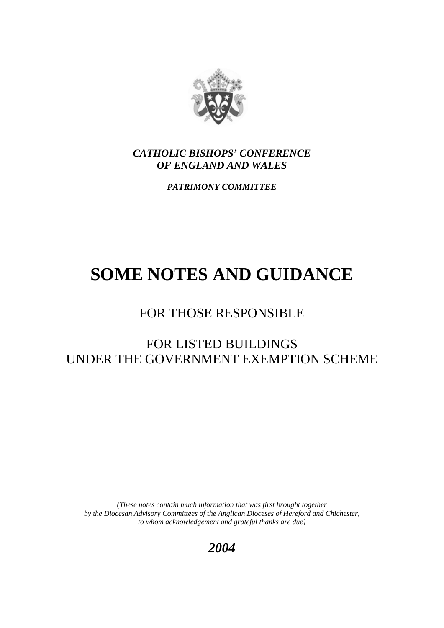

*CATHOLIC BISHOPS' CONFERENCE OF ENGLAND AND WALES*

*PATRIMONY COMMITTEE* 

# **SOME NOTES AND GUIDANCE**

## FOR THOSE RESPONSIBLE

## FOR LISTED BUILDINGS UNDER THE GOVERNMENT EXEMPTION SCHEME

*(These notes contain much information that was first brought together by the Diocesan Advisory Committees of the Anglican Dioceses of Hereford and Chichester, to whom acknowledgement and grateful thanks are due)* 

*2004*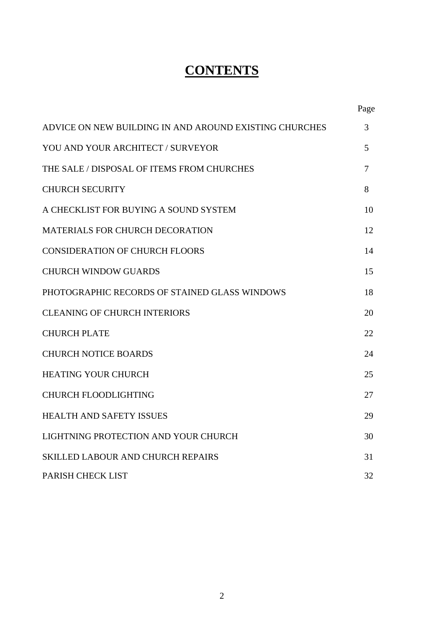## **CONTENTS**

|                                                        | Page   |
|--------------------------------------------------------|--------|
| ADVICE ON NEW BUILDING IN AND AROUND EXISTING CHURCHES | 3      |
| YOU AND YOUR ARCHITECT / SURVEYOR                      | 5      |
| THE SALE / DISPOSAL OF ITEMS FROM CHURCHES             | $\tau$ |
| <b>CHURCH SECURITY</b>                                 | 8      |
| A CHECKLIST FOR BUYING A SOUND SYSTEM                  | 10     |
| <b>MATERIALS FOR CHURCH DECORATION</b>                 | 12     |
| <b>CONSIDERATION OF CHURCH FLOORS</b>                  | 14     |
| <b>CHURCH WINDOW GUARDS</b>                            | 15     |
| PHOTOGRAPHIC RECORDS OF STAINED GLASS WINDOWS          | 18     |
| <b>CLEANING OF CHURCH INTERIORS</b>                    | 20     |
| <b>CHURCH PLATE</b>                                    | 22     |
| <b>CHURCH NOTICE BOARDS</b>                            | 24     |
| <b>HEATING YOUR CHURCH</b>                             | 25     |
| <b>CHURCH FLOODLIGHTING</b>                            | 27     |
| <b>HEALTH AND SAFETY ISSUES</b>                        | 29     |
| LIGHTNING PROTECTION AND YOUR CHURCH                   | 30     |
| <b>SKILLED LABOUR AND CHURCH REPAIRS</b>               | 31     |
| PARISH CHECK LIST                                      | 32     |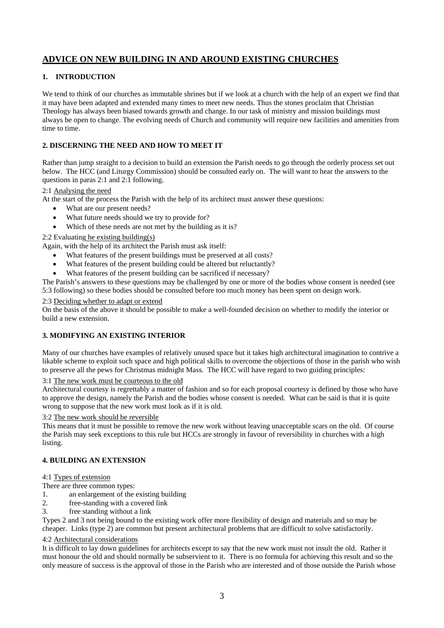## **ADVICE ON NEW BUILDING IN AND AROUND EXISTING CHURCHES**

#### **1. INTRODUCTION**

We tend to think of our churches as immutable shrines but if we look at a church with the help of an expert we find that it may have been adapted and extended many times to meet new needs. Thus the stones proclaim that Christian Theology has always been biased towards growth and change. In our task of ministry and mission buildings must always be open to change. The evolving needs of Church and community will require new facilities and amenities from time to time.

#### **2. DISCERNING THE NEED AND HOW TO MEET IT**

Rather than jump straight to a decision to build an extension the Parish needs to go through the orderly process set out below. The HCC (and Liturgy Commission) should be consulted early on. The will want to hear the answers to the questions in paras 2:1 and 2:1 following.

#### 2:1 Analysing the need

At the start of the process the Parish with the help of its architect must answer these questions:

- What are our present needs?
- What future needs should we try to provide for?
- Which of these needs are not met by the building as it is?

#### 2:2 Evaluating he existing building(s)

Again, with the help of its architect the Parish must ask itself:

- What features of the present buildings must be preserved at all costs?
- What features of the present building could be altered but reluctantly?
- What features of the present building can be sacrificed if necessary?

The Parish's answers to these questions may be challenged by one or more of the bodies whose consent is needed (see 5:3 following) so these bodies should be consulted before too much money has been spent on design work.

#### 2:3 Deciding whether to adapt or extend

On the basis of the above it should be possible to make a well-founded decision on whether to modify the interior or build a new extension.

#### **3. MODIFYING AN EXISTING INTERIOR**

Many of our churches have examples of relatively unused space but it takes high architectural imagination to contrive a likable scheme to exploit such space and high political skills to overcome the objections of those in the parish who wish to preserve all the pews for Christmas midnight Mass. The HCC will have regard to two guiding principles:

3:1 The new work must be courteous to the old

Architectural courtesy is regrettably a matter of fashion and so for each proposal courtesy is defined by those who have to approve the design, namely the Parish and the bodies whose consent is needed. What can be said is that it is quite wrong to suppose that the new work must look as if it is old.

#### 3:2 The new work should be reversible

This means that it must be possible to remove the new work without leaving unacceptable scars on the old. Of course the Parish may seek exceptions to this rule but HCCs are strongly in favour of reversibility in churches with a high listing.

#### **4. BUILDING AN EXTENSION**

#### 4:1 Types of extension

There are three common types:

- 1. an enlargement of the existing building
- 2. free-standing with a covered link
- 3. free standing without a link

Types 2 and 3 not being bound to the existing work offer more flexibility of design and materials and so may be cheaper. Links (type 2) are common but present architectural problems that are difficult to solve satisfactorily.

#### 4:2 Architectural considerations

It is difficult to lay down guidelines for architects except to say that the new work must not insult the old. Rather it must honour the old and should normally be subservient to it. There is no formula for achieving this result and so the only measure of success is the approval of those in the Parish who are interested and of those outside the Parish whose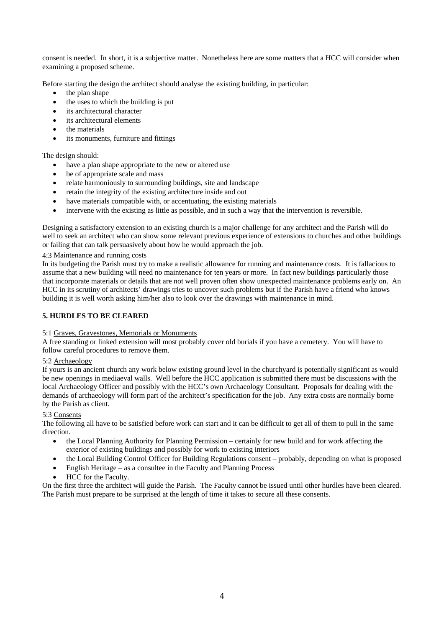consent is needed. In short, it is a subjective matter. Nonetheless here are some matters that a HCC will consider when examining a proposed scheme.

Before starting the design the architect should analyse the existing building, in particular:

- the plan shape
- the uses to which the building is put
- its architectural character
- its architectural elements
- the materials
- its monuments, furniture and fittings

The design should:

- have a plan shape appropriate to the new or altered use
- be of appropriate scale and mass
- relate harmoniously to surrounding buildings, site and landscape
- retain the integrity of the existing architecture inside and out
- have materials compatible with, or accentuating, the existing materials
- intervene with the existing as little as possible, and in such a way that the intervention is reversible.

Designing a satisfactory extension to an existing church is a major challenge for any architect and the Parish will do well to seek an architect who can show some relevant previous experience of extensions to churches and other buildings or failing that can talk persuasively about how he would approach the job.

#### 4:3 Maintenance and running costs

In its budgeting the Parish must try to make a realistic allowance for running and maintenance costs. It is fallacious to assume that a new building will need no maintenance for ten years or more. In fact new buildings particularly those that incorporate materials or details that are not well proven often show unexpected maintenance problems early on. An HCC in its scrutiny of architects' drawings tries to uncover such problems but if the Parish have a friend who knows building it is well worth asking him/her also to look over the drawings with maintenance in mind.

#### **5. HURDLES TO BE CLEARED**

#### 5:1 Graves, Gravestones, Memorials or Monuments

A free standing or linked extension will most probably cover old burials if you have a cemetery. You will have to follow careful procedures to remove them.

#### 5:2 Archaeology

If yours is an ancient church any work below existing ground level in the churchyard is potentially significant as would be new openings in mediaeval walls. Well before the HCC application is submitted there must be discussions with the local Archaeology Officer and possibly with the HCC's own Archaeology Consultant. Proposals for dealing with the demands of archaeology will form part of the architect's specification for the job. Any extra costs are normally borne by the Parish as client.

#### 5:3 Consents

The following all have to be satisfied before work can start and it can be difficult to get all of them to pull in the same direction.

- the Local Planning Authority for Planning Permission certainly for new build and for work affecting the exterior of existing buildings and possibly for work to existing interiors
- the Local Building Control Officer for Building Regulations consent probably, depending on what is proposed
- English Heritage as a consultee in the Faculty and Planning Process
- HCC for the Faculty.

On the first three the architect will guide the Parish. The Faculty cannot be issued until other hurdles have been cleared. The Parish must prepare to be surprised at the length of time it takes to secure all these consents.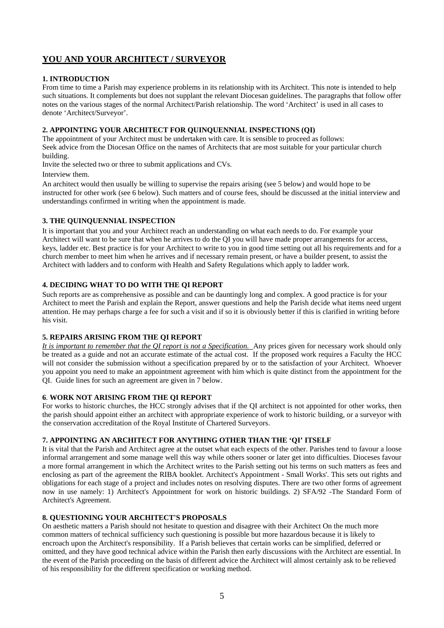## **YOU AND YOUR ARCHITECT / SURVEYOR**

#### **1. INTRODUCTION**

From time to time a Parish may experience problems in its relationship with its Architect. This note is intended to help such situations. It complements but does not supplant the relevant Diocesan guidelines. The paragraphs that follow offer notes on the various stages of the normal Architect/Parish relationship. The word 'Architect' is used in all cases to denote 'Architect/Surveyor'.

#### **2. APPOINTING YOUR ARCHITECT FOR QUINQUENNIAL INSPECTIONS (QI)**

The appointment of your Architect must be undertaken with care. It is sensible to proceed as follows: Seek advice from the Diocesan Office on the names of Architects that are most suitable for your particular church building.

Invite the selected two or three to submit applications and CVs.

Interview them.

An architect would then usually be willing to supervise the repairs arising (see 5 below) and would hope to be instructed for other work (see 6 below). Such matters and of course fees, should be discussed at the initial interview and understandings confirmed in writing when the appointment is made.

#### **3. THE QUINQUENNIAL INSPECTION**

It is important that you and your Architect reach an understanding on what each needs to do. For example your Architect will want to be sure that when he arrives to do the QI you will have made proper arrangements for access, keys, ladder etc. Best practice is for your Architect to write to you in good time setting out all his requirements and for a church member to meet him when he arrives and if necessary remain present, or have a builder present, to assist the Architect with ladders and to conform with Health and Safety Regulations which apply to ladder work.

#### **4. DECIDING WHAT TO DO WITH THE QI REPORT**

Such reports are as comprehensive as possible and can be dauntingly long and complex. A good practice is for your Architect to meet the Parish and explain the Report, answer questions and help the Parish decide what items need urgent attention. He may perhaps charge a fee for such a visit and if so it is obviously better if this is clarified in writing before his visit.

#### **5. REPAIRS ARISING FROM THE QI REPORT**

*It is important to remember that the QI report is not a Specification.* Any prices given for necessary work should only be treated as a guide and not an accurate estimate of the actual cost. If the proposed work requires a Faculty the HCC will not consider the submission without a specification prepared by or to the satisfaction of your Architect. Whoever you appoint you need to make an appointment agreement with him which is quite distinct from the appointment for the QI. Guide lines for such an agreement are given in 7 below.

#### **6**. **WORK NOT ARISING FROM THE QI REPORT**

For works to historic churches, the HCC strongly advises that if the QI architect is not appointed for other works, then the parish should appoint either an architect with appropriate experience of work to historic building, or a surveyor with the conservation accreditation of the Royal Institute of Chartered Surveyors.

#### **7. APPOINTING AN ARCHITECT FOR ANYTHING OTHER THAN THE 'QI' ITSELF**

It is vital that the Parish and Architect agree at the outset what each expects of the other. Parishes tend to favour a loose informal arrangement and some manage well this way while others sooner or later get into difficulties. Dioceses favour a more formal arrangement in which the Architect writes to the Parish setting out his terms on such matters as fees and enclosing as part of the agreement the RIBA booklet. Architect's Appointment - Small Works'. This sets out rights and obligations for each stage of a project and includes notes on resolving disputes. There are two other forms of agreement now in use namely: 1) Architect's Appointment for work on historic buildings. 2) SFA/92 -The Standard Form of Architect's Agreement.

#### **8. QUESTIONING YOUR ARCHITECT'S PROPOSALS**

On aesthetic matters a Parish should not hesitate to question and disagree with their Architect On the much more common matters of technical sufficiency such questioning is possible but more hazardous because it is likely to encroach upon the Architect's responsibility. If a Parish believes that certain works can be simplified, deferred or omitted, and they have good technical advice within the Parish then early discussions with the Architect are essential. In the event of the Parish proceeding on the basis of different advice the Architect will almost certainly ask to be relieved of his responsibility for the different specification or working method.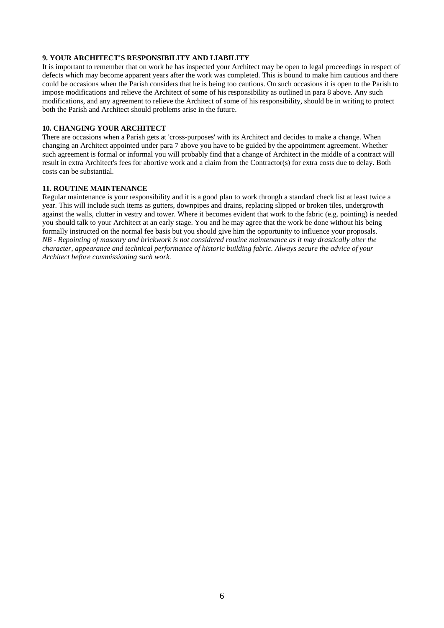#### **9. YOUR ARCHITECT'S RESPONSIBILITY AND LIABILITY**

It is important to remember that on work he has inspected your Architect may be open to legal proceedings in respect of defects which may become apparent years after the work was completed. This is bound to make him cautious and there could be occasions when the Parish considers that he is being too cautious. On such occasions it is open to the Parish to impose modifications and relieve the Architect of some of his responsibility as outlined in para 8 above. Any such modifications, and any agreement to relieve the Architect of some of his responsibility, should be in writing to protect both the Parish and Architect should problems arise in the future.

#### **10. CHANGING YOUR ARCHITECT**

There are occasions when a Parish gets at 'cross-purposes' with its Architect and decides to make a change. When changing an Architect appointed under para 7 above you have to be guided by the appointment agreement. Whether such agreement is formal or informal you will probably find that a change of Architect in the middle of a contract will result in extra Architect's fees for abortive work and a claim from the Contractor(s) for extra costs due to delay. Both costs can be substantial.

#### **11. ROUTINE MAINTENANCE**

Regular maintenance is your responsibility and it is a good plan to work through a standard check list at least twice a year. This will include such items as gutters, downpipes and drains, replacing slipped or broken tiles, undergrowth against the walls, clutter in vestry and tower. Where it becomes evident that work to the fabric (e.g. pointing) is needed you should talk to your Architect at an early stage. You and he may agree that the work be done without his being formally instructed on the normal fee basis but you should give him the opportunity to influence your proposals. *NB - Repointing of masonry and brickwork is not considered routine maintenance as it may drastically alter the character, appearance and technical performance of historic building fabric. Always secure the advice of your Architect before commissioning such work.*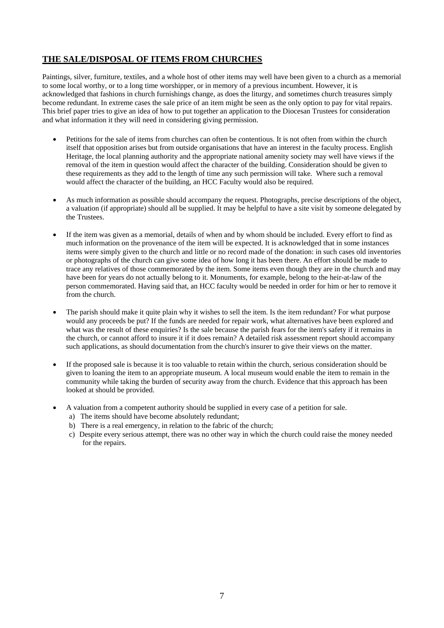## **THE SALE/DISPOSAL OF ITEMS FROM CHURCHES**

Paintings, silver, furniture, textiles, and a whole host of other items may well have been given to a church as a memorial to some local worthy, or to a long time worshipper, or in memory of a previous incumbent. However, it is acknowledged that fashions in church furnishings change, as does the liturgy, and sometimes church treasures simply become redundant. In extreme cases the sale price of an item might be seen as the only option to pay for vital repairs. This brief paper tries to give an idea of how to put together an application to the Diocesan Trustees for consideration and what information it they will need in considering giving permission.

- Petitions for the sale of items from churches can often be contentious. It is not often from within the church itself that opposition arises but from outside organisations that have an interest in the faculty process. English Heritage, the local planning authority and the appropriate national amenity society may well have views if the removal of the item in question would affect the character of the building. Consideration should be given to these requirements as they add to the length of time any such permission will take. Where such a removal would affect the character of the building, an HCC Faculty would also be required.
- As much information as possible should accompany the request. Photographs, precise descriptions of the object, a valuation (if appropriate) should all be supplied. It may be helpful to have a site visit by someone delegated by the Trustees.
- If the item was given as a memorial, details of when and by whom should be included. Every effort to find as much information on the provenance of the item will be expected. It is acknowledged that in some instances items were simply given to the church and little or no record made of the donation: in such cases old inventories or photographs of the church can give some idea of how long it has been there. An effort should be made to trace any relatives of those commemorated by the item. Some items even though they are in the church and may have been for years do not actually belong to it. Monuments, for example, belong to the heir-at-law of the person commemorated. Having said that, an HCC faculty would be needed in order for him or her to remove it from the church.
- The parish should make it quite plain why it wishes to sell the item. Is the item redundant? For what purpose would any proceeds be put? If the funds are needed for repair work, what alternatives have been explored and what was the result of these enquiries? Is the sale because the parish fears for the item's safety if it remains in the church, or cannot afford to insure it if it does remain? A detailed risk assessment report should accompany such applications, as should documentation from the church's insurer to give their views on the matter.
- If the proposed sale is because it is too valuable to retain within the church, serious consideration should be given to loaning the item to an appropriate museum. A local museum would enable the item to remain in the community while taking the burden of security away from the church. Evidence that this approach has been looked at should be provided.
- A valuation from a competent authority should be supplied in every case of a petition for sale.
	- a) The items should have become absolutely redundant;
	- b) There is a real emergency, in relation to the fabric of the church;
	- c) Despite every serious attempt, there was no other way in which the church could raise the money needed for the repairs.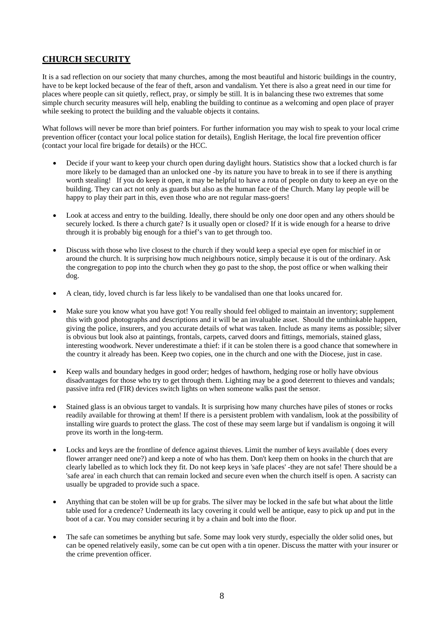## **CHURCH SECURITY**

It is a sad reflection on our society that many churches, among the most beautiful and historic buildings in the country, have to be kept locked because of the fear of theft, arson and vandalism. Yet there is also a great need in our time for places where people can sit quietly, reflect, pray, or simply be still. It is in balancing these two extremes that some simple church security measures will help, enabling the building to continue as a welcoming and open place of prayer while seeking to protect the building and the valuable objects it contains.

What follows will never be more than brief pointers. For further information you may wish to speak to your local crime prevention officer (contact your local police station for details), English Heritage, the local fire prevention officer (contact your local fire brigade for details) or the HCC.

- Decide if your want to keep your church open during daylight hours. Statistics show that a locked church is far more likely to be damaged than an unlocked one -by its nature you have to break in to see if there is anything worth stealing! If you do keep it open, it may be helpful to have a rota of people on duty to keep an eye on the building. They can act not only as guards but also as the human face of the Church. Many lay people will be happy to play their part in this, even those who are not regular mass-goers!
- Look at access and entry to the building. Ideally, there should be only one door open and any others should be securely locked. Is there a church gate? Is it usually open or closed? If it is wide enough for a hearse to drive through it is probably big enough for a thief's van to get through too.
- Discuss with those who live closest to the church if they would keep a special eye open for mischief in or around the church. It is surprising how much neighbours notice, simply because it is out of the ordinary. Ask the congregation to pop into the church when they go past to the shop, the post office or when walking their dog.
- A clean, tidy, loved church is far less likely to be vandalised than one that looks uncared for.
- Make sure you know what you have got! You really should feel obliged to maintain an inventory; supplement this with good photographs and descriptions and it will be an invaluable asset. Should the unthinkable happen, giving the police, insurers, and you accurate details of what was taken. Include as many items as possible; silver is obvious but look also at paintings, frontals, carpets, carved doors and fittings, memorials, stained glass, interesting woodwork. Never underestimate a thief: if it can be stolen there is a good chance that somewhere in the country it already has been. Keep two copies, one in the church and one with the Diocese, just in case.
- Keep walls and boundary hedges in good order; hedges of hawthorn, hedging rose or holly have obvious disadvantages for those who try to get through them. Lighting may be a good deterrent to thieves and vandals; passive infra red (FIR) devices switch lights on when someone walks past the sensor.
- Stained glass is an obvious target to vandals. It is surprising how many churches have piles of stones or rocks readily available for throwing at them! If there is a persistent problem with vandalism, look at the possibility of installing wire guards to protect the glass. The cost of these may seem large but if vandalism is ongoing it will prove its worth in the long-term.
- Locks and keys are the frontline of defence against thieves. Limit the number of keys available ( does every flower arranger need one?) and keep a note of who has them. Don't keep them on hooks in the church that are clearly labelled as to which lock they fit. Do not keep keys in 'safe places' -they are not safe! There should be a 'safe area' in each church that can remain locked and secure even when the church itself is open. A sacristy can usually be upgraded to provide such a space.
- Anything that can be stolen will be up for grabs. The silver may be locked in the safe but what about the little table used for a credence? Underneath its lacy covering it could well be antique, easy to pick up and put in the boot of a car. You may consider securing it by a chain and bolt into the floor.
- The safe can sometimes be anything but safe. Some may look very sturdy, especially the older solid ones, but can be opened relatively easily, some can be cut open with a tin opener. Discuss the matter with your insurer or the crime prevention officer.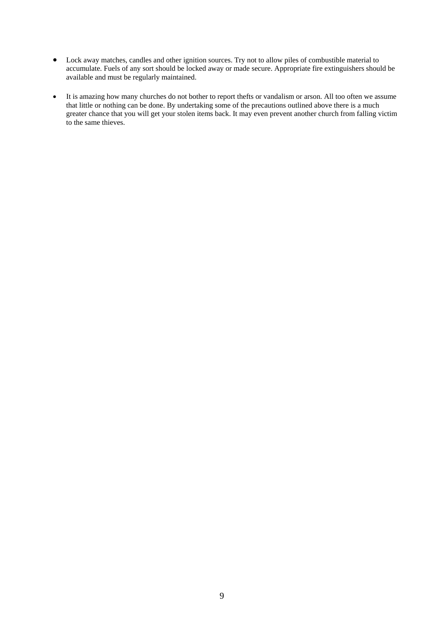- Lock away matches, candles and other ignition sources. Try not to allow piles of combustible material to accumulate. Fuels of any sort should be locked away or made secure. Appropriate fire extinguishers should be available and must be regularly maintained.
- It is amazing how many churches do not bother to report thefts or vandalism or arson. All too often we assume that little or nothing can be done. By undertaking some of the precautions outlined above there is a much greater chance that you will get your stolen items back. It may even prevent another church from falling victim to the same thieves.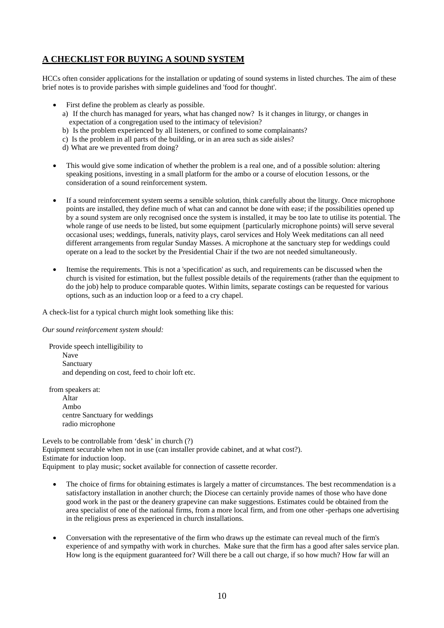## **A CHECKLIST FOR BUYING A SOUND SYSTEM**

HCCs often consider applications for the installation or updating of sound systems in listed churches. The aim of these brief notes is to provide parishes with simple guidelines and 'food for thought'.

- First define the problem as clearly as possible.
	- a) If the church has managed for years, what has changed now? Is it changes in liturgy, or changes in expectation of a congregation used to the intimacy of television?
	- b) Is the problem experienced by all listeners, or confined to some complainants?
	- c) Is the problem in all parts of the building, or in an area such as side aisles?
	- d) What are we prevented from doing?
- This would give some indication of whether the problem is a real one, and of a possible solution: altering speaking positions, investing in a small platform for the ambo or a course of elocution 1essons, or the consideration of a sound reinforcement system.
- If a sound reinforcement system seems a sensible solution, think carefully about the liturgy. Once microphone points are installed, they define much of what can and cannot be done with ease; if the possibilities opened up by a sound system are only recognised once the system is installed, it may be too late to utilise its potential. The whole range of use needs to be listed, but some equipment {particularly microphone points) will serve several occasional uses; weddings, funerals, nativity plays, carol services and Holy Week meditations can all need different arrangements from regular Sunday Masses. A microphone at the sanctuary step for weddings could operate on a lead to the socket by the Presidential Chair if the two are not needed simultaneously.
- Itemise the requirements. This is not a 'specification' as such, and requirements can be discussed when the church is visited for estimation, but the fullest possible details of the requirements (rather than the equipment to do the job) help to produce comparable quotes. Within limits, separate costings can be requested for various options, such as an induction loop or a feed to a cry chapel.

A check-list for a typical church might look something like this:

*Our sound reinforcement system should:* 

Provide speech intelligibility to Nave Sanctuary and depending on cost, feed to choir loft etc.

from speakers at:

 Altar Ambo centre Sanctuary for weddings radio microphone

Levels to be controllable from 'desk' in church (?) Equipment securable when not in use (can installer provide cabinet, and at what cost?). Estimate for induction loop. Equipment to play music; socket available for connection of cassette recorder.

- The choice of firms for obtaining estimates is largely a matter of circumstances. The best recommendation is a satisfactory installation in another church; the Diocese can certainly provide names of those who have done good work in the past or the deanery grapevine can make suggestions. Estimates could be obtained from the area specialist of one of the national firms, from a more local firm, and from one other -perhaps one advertising in the religious press as experienced in church installations.
- Conversation with the representative of the firm who draws up the estimate can reveal much of the firm's experience of and sympathy with work in churches. Make sure that the firm has a good after sales service plan. How long is the equipment guaranteed for? Will there be a call out charge, if so how much? How far will an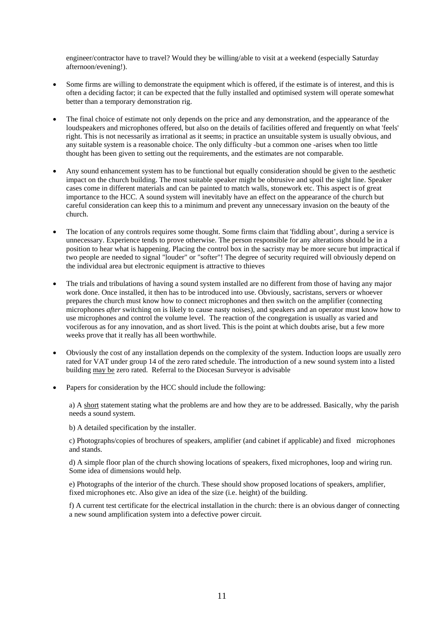engineer/contractor have to travel? Would they be willing/able to visit at a weekend (especially Saturday afternoon/evening!).

- Some firms are willing to demonstrate the equipment which is offered, if the estimate is of interest, and this is often a deciding factor; it can be expected that the fully installed and optimised system will operate somewhat better than a temporary demonstration rig.
- The final choice of estimate not only depends on the price and any demonstration, and the appearance of the loudspeakers and microphones offered, but also on the details of facilities offered and frequently on what 'feels' right. This is not necessarily as irrational as it seems; in practice an unsuitable system is usually obvious, and any suitable system is a reasonable choice. The only difficulty -but a common one -arises when too little thought has been given to setting out the requirements, and the estimates are not comparable.
- Any sound enhancement system has to be functional but equally consideration should be given to the aesthetic impact on the church building. The most suitable speaker might be obtrusive and spoil the sight line. Speaker cases come in different materials and can be painted to match walls, stonework etc. This aspect is of great importance to the HCC. A sound system will inevitably have an effect on the appearance of the church but careful consideration can keep this to a minimum and prevent any unnecessary invasion on the beauty of the church.
- The location of any controls requires some thought. Some firms claim that 'fiddling about', during a service is unnecessary. Experience tends to prove otherwise. The person responsible for any alterations should be in a position to hear what is happening. Placing the control box in the sacristy may be more secure but impractical if two people are needed to signal "louder" or "softer"! The degree of security required will obviously depend on the individual area but electronic equipment is attractive to thieves
- The trials and tribulations of having a sound system installed are no different from those of having any major work done. Once installed, it then has to be introduced into use. Obviously, sacristans, servers or whoever prepares the church must know how to connect microphones and then switch on the amplifier (connecting microphones *after* switching on is likely to cause nasty noises), and speakers and an operator must know how to use microphones and control the volume level. The reaction of the congregation is usually as varied and vociferous as for any innovation, and as short lived. This is the point at which doubts arise, but a few more weeks prove that it really has all been worthwhile.
- Obviously the cost of any installation depends on the complexity of the system. Induction loops are usually zero rated for VAT under group 14 of the zero rated schedule. The introduction of a new sound system into a listed building may be zero rated. Referral to the Diocesan Surveyor is advisable
- Papers for consideration by the HCC should include the following:

a) A short statement stating what the problems are and how they are to be addressed. Basically, why the parish needs a sound system.

b) A detailed specification by the installer.

c) Photographs/copies of brochures of speakers, amplifier (and cabinet if applicable) and fixed microphones and stands.

d) A simple floor plan of the church showing locations of speakers, fixed microphones, loop and wiring run. Some idea of dimensions would help.

e) Photographs of the interior of the church. These should show proposed locations of speakers, amplifier, fixed microphones etc. Also give an idea of the size (i.e. height) of the building.

f) A current test certificate for the electrical installation in the church: there is an obvious danger of connecting a new sound amplification system into a defective power circuit.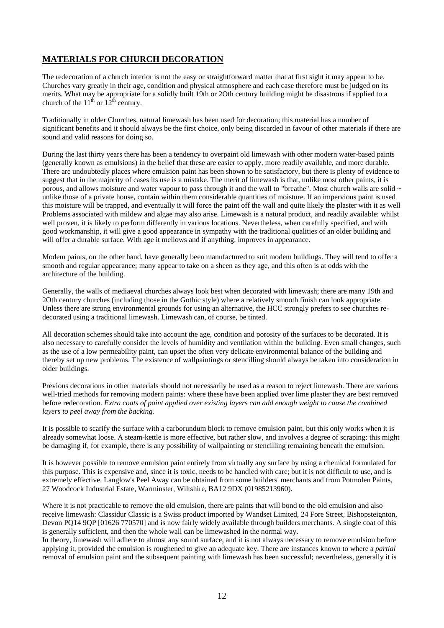## **MATERIALS FOR CHURCH DECORATION**

The redecoration of a church interior is not the easy or straightforward matter that at first sight it may appear to be. Churches vary greatly in their age, condition and physical atmosphere and each case therefore must be judged on its merits. What may be appropriate for a solidly built 19th or 2Oth century building might be disastrous if applied to a church of the  $11^{th}$  or  $12^{th}$  century.

Traditionally in older Churches, natural limewash has been used for decoration; this material has a number of significant benefits and it should always be the first choice, only being discarded in favour of other materials if there are sound and valid reasons for doing so.

During the last thirty years there has been a tendency to overpaint old limewash with other modern water-based paints (generally known as emulsions) in the belief that these are easier to apply, more readily available, and more durable. There are undoubtedly places where emulsion paint has been shown to be satisfactory, but there is plenty of evidence to suggest that in the majority of cases its use is a mistake. The merit of limewash is that, unlike most other paints, it is porous, and allows moisture and water vapour to pass through it and the wall to "breathe". Most church walls are solid  $\sim$ unlike those of a private house, contain within them considerable quantities of moisture. If an impervious paint is used this moisture will be trapped, and eventually it will force the paint off the wall and quite likely the plaster with it as well Problems associated with mildew and algae may also arise. Limewash is a natural product, and readily available: whilst well proven, it is likely to perform differently in various locations. Nevertheless, when carefully specified, and with good workmanship, it will give a good appearance in sympathy with the traditional qualities of an older building and will offer a durable surface. With age it mellows and if anything, improves in appearance.

Modem paints, on the other hand, have generally been manufactured to suit modem buildings. They will tend to offer a smooth and regular appearance; many appear to take on a sheen as they age, and this often is at odds with the architecture of the building.

Generally, the walls of mediaeval churches always look best when decorated with limewash; there are many 19th and 2Oth century churches (including those in the Gothic style) where a relatively smooth finish can look appropriate. Unless there are strong environmental grounds for using an alternative, the HCC strongly prefers to see churches redecorated using a traditional limewash. Limewash can, of course, be tinted.

All decoration schemes should take into account the age, condition and porosity of the surfaces to be decorated. It is also necessary to carefully consider the levels of humidity and ventilation within the building. Even small changes, such as the use of a low permeability paint, can upset the often very delicate environmental balance of the building and thereby set up new problems. The existence of wallpaintings or stencilling should always be taken into consideration in older buildings.

Previous decorations in other materials should not necessarily be used as a reason to reject limewash. There are various well-tried methods for removing modern paints: where these have been applied over lime plaster they are best removed before redecoration. *Extra coats of paint applied over existing layers can add enough weight to cause the combined layers to peel away from the backing.* 

It is possible to scarify the surface with a carborundum block to remove emulsion paint, but this only works when it is already somewhat loose. A steam-kettle is more effective, but rather slow, and involves a degree of scraping: this might be damaging if, for example, there is any possibility of wallpainting or stencilling remaining beneath the emulsion.

It is however possible to remove emulsion paint entirely from virtually any surface by using a chemical formulated for this purpose. This is expensive and, since it is toxic, needs to be handled with care; but it is not difficult to use, and is extremely effective. Langlow's Peel Away can be obtained from some builders' merchants and from Potmolen Paints, 27 Woodcock Industrial Estate, Warminster, Wiltshire, BA12 9DX (01985213960).

Where it is not practicable to remove the old emulsion, there are paints that will bond to the old emulsion and also receive limewash: Classidur Classic is a Swiss product imported by Wandset Limited, 24 Fore Street, Bishopsteignton, Devon PQ14 9QP [01626 770570] and is now fairly widely available through builders merchants. A single coat of this is generally sufficient, and then the whole wall can be limewashed in the normal way.

In theory, limewash will adhere to almost any sound surface, and it is not always necessary to remove emulsion before applying it, provided the emulsion is roughened to give an adequate key. There are instances known to where a *partial*  removal of emulsion paint and the subsequent painting with limewash has been successful; nevertheless, generally it is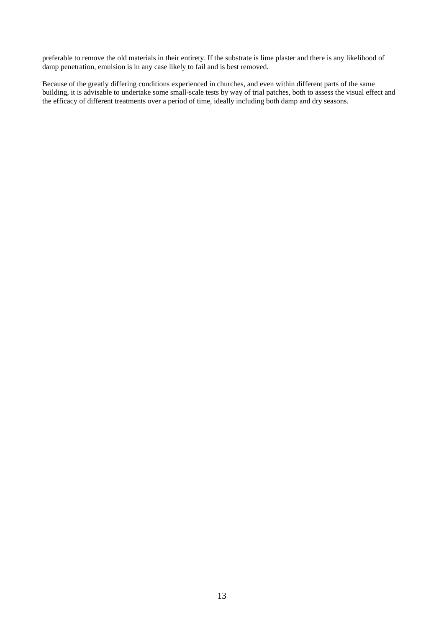preferable to remove the old materials in their entirety. If the substrate is lime plaster and there is any likelihood of damp penetration, emulsion is in any case likely to fail and is best removed.

Because of the greatly differing conditions experienced in churches, and even within different parts of the same building, it is advisable to undertake some small-scale tests by way of trial patches, both to assess the visual effect and the efficacy of different treatments over a period of time, ideally including both damp and dry seasons.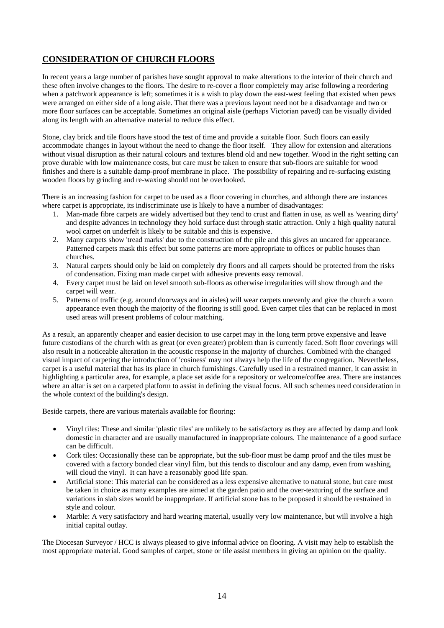## **CONSIDERATION OF CHURCH FLOORS**

In recent years a large number of parishes have sought approval to make alterations to the interior of their church and these often involve changes to the floors. The desire to re-cover a floor completely may arise following a reordering when a patchwork appearance is left; sometimes it is a wish to play down the east-west feeling that existed when pews were arranged on either side of a long aisle. That there was a previous layout need not be a disadvantage and two or more floor surfaces can be acceptable. Sometimes an original aisle (perhaps Victorian paved) can be visually divided along its length with an alternative material to reduce this effect.

Stone, clay brick and tile floors have stood the test of time and provide a suitable floor. Such floors can easily accommodate changes in layout without the need to change the floor itself. They allow for extension and alterations without visual disruption as their natural colours and textures blend old and new together. Wood in the right setting can prove durable with low maintenance costs, but care must be taken to ensure that sub-floors are suitable for wood finishes and there is a suitable damp-proof membrane in place. The possibility of repairing and re-surfacing existing wooden floors by grinding and re-waxing should not be overlooked.

There is an increasing fashion for carpet to be used as a floor covering in churches, and although there are instances where carpet is appropriate, its indiscriminate use is likely to have a number of disadvantages:

- 1. Man-made fibre carpets are widely advertised but they tend to crust and flatten in use, as well as 'wearing dirty' and despite advances in technology they hold surface dust through static attraction. Only a high quality natural wool carpet on underfelt is likely to be suitable and this is expensive.
- 2. Many carpets show 'tread marks' due to the construction of the pile and this gives an uncared for appearance. Patterned carpets mask this effect but some patterns are more appropriate to offices or public houses than churches.
- 3. Natural carpets should only be laid on completely dry floors and all carpets should be protected from the risks of condensation. Fixing man made carpet with adhesive prevents easy removal.
- 4. Every carpet must be laid on level smooth sub-floors as otherwise irregularities will show through and the carpet will wear.
- 5. Patterns of traffic (e.g. around doorways and in aisles) will wear carpets unevenly and give the church a worn appearance even though the majority of the flooring is still good. Even carpet tiles that can be replaced in most used areas will present problems of colour matching.

As a result, an apparently cheaper and easier decision to use carpet may in the long term prove expensive and leave future custodians of the church with as great (or even greater) problem than is currently faced. Soft floor coverings will also result in a noticeable alteration in the acoustic response in the majority of churches. Combined with the changed visual impact of carpeting the introduction of 'cosiness' may not always help the life of the congregation. Nevertheless, carpet is a useful material that has its place in church furnishings. Carefully used in a restrained manner, it can assist in highlighting a particular area, for example, a place set aside for a repository or welcome/coffee area. There are instances where an altar is set on a carpeted platform to assist in defining the visual focus. All such schemes need consideration in the whole context of the building's design.

Beside carpets, there are various materials available for flooring:

- Vinyl tiles: These and similar 'plastic tiles' are unlikely to be satisfactory as they are affected by damp and look domestic in character and are usually manufactured in inappropriate colours. The maintenance of a good surface can be difficult.
- Cork tiles: Occasionally these can be appropriate, but the sub-floor must be damp proof and the tiles must be covered with a factory bonded clear vinyl film, but this tends to discolour and any damp, even from washing, will cloud the vinyl. It can have a reasonably good life span.
- Artificial stone: This material can be considered as a less expensive alternative to natural stone, but care must be taken in choice as many examples are aimed at the garden patio and the over-texturing of the surface and variations in slab sizes would be inappropriate. If artificial stone has to be proposed it should be restrained in style and colour.
- Marble: A very satisfactory and hard wearing material, usually very low maintenance, but will involve a high initial capital outlay.

The Diocesan Surveyor / HCC is always pleased to give informal advice on flooring. A visit may help to establish the most appropriate material. Good samples of carpet, stone or tile assist members in giving an opinion on the quality.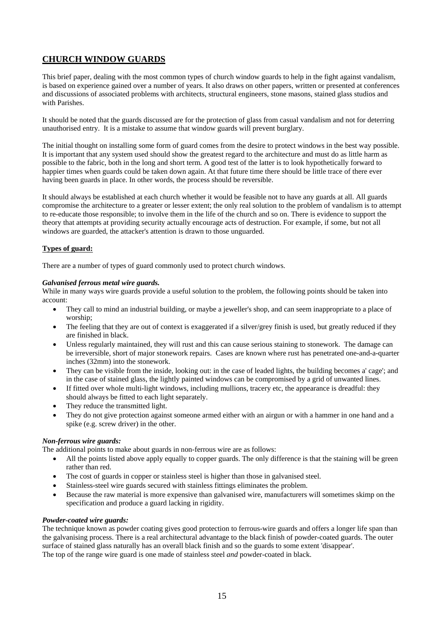## **CHURCH WINDOW GUARDS**

This brief paper, dealing with the most common types of church window guards to help in the fight against vandalism, is based on experience gained over a number of years. It also draws on other papers, written or presented at conferences and discussions of associated problems with architects, structural engineers, stone masons, stained glass studios and with Parishes.

It should be noted that the guards discussed are for the protection of glass from casual vandalism and not for deterring unauthorised entry. It is a mistake to assume that window guards will prevent burglary.

The initial thought on installing some form of guard comes from the desire to protect windows in the best way possible. It is important that any system used should show the greatest regard to the architecture and must do as little harm as possible to the fabric, both in the long and short term. A good test of the latter is to look hypothetically forward to happier times when guards could be taken down again. At that future time there should be little trace of there ever having been guards in place. In other words, the process should be reversible.

It should always be established at each church whether it would be feasible not to have any guards at all. All guards compromise the architecture to a greater or lesser extent; the only real solution to the problem of vandalism is to attempt to re-educate those responsible; to involve them in the life of the church and so on. There is evidence to support the theory that attempts at providing security actually encourage acts of destruction. For example, if some, but not all windows are guarded, the attacker's attention is drawn to those unguarded.

#### **Types of guard:**

There are a number of types of guard commonly used to protect church windows.

#### *Galvanised ferrous metal wire guards.*

While in many ways wire guards provide a useful solution to the problem, the following points should be taken into account:

- They call to mind an industrial building, or maybe a jeweller's shop, and can seem inappropriate to a place of worship;
- The feeling that they are out of context is exaggerated if a silver/grey finish is used, but greatly reduced if they are finished in black.
- Unless regularly maintained, they will rust and this can cause serious staining to stonework. The damage can be irreversible, short of major stonework repairs. Cases are known where rust has penetrated one-and-a-quarter inches (32mm) into the stonework.
- They can be visible from the inside, looking out: in the case of leaded lights, the building becomes a' cage'; and in the case of stained glass, the lightly painted windows can be compromised by a grid of unwanted lines.
- If fitted over whole multi-light windows, including mullions, tracery etc, the appearance is dreadful: they should always be fitted to each light separately.
- They reduce the transmitted light.
- They do not give protection against someone armed either with an airgun or with a hammer in one hand and a spike (e.g. screw driver) in the other.

#### *Non-ferrous wire guards:*

The additional points to make about guards in non-ferrous wire are as follows:

- All the points listed above apply equally to copper guards. The only difference is that the staining will be green rather than red.
- The cost of guards in copper or stainless steel is higher than those in galvanised steel.
- Stainless-steel wire guards secured with stainless fittings eliminates the problem.
- Because the raw material is more expensive than galvanised wire, manufacturers will sometimes skimp on the specification and produce a guard lacking in rigidity.

#### *Powder-coated wire guards:*

The technique known as powder coating gives good protection to ferrous-wire guards and offers a longer life span than the galvanising process. There is a real architectural advantage to the black finish of powder-coated guards. The outer surface of stained glass naturally has an overall black finish and so the guards to some extent 'disappear'. The top of the range wire guard is one made of stainless steel *and* powder-coated in black.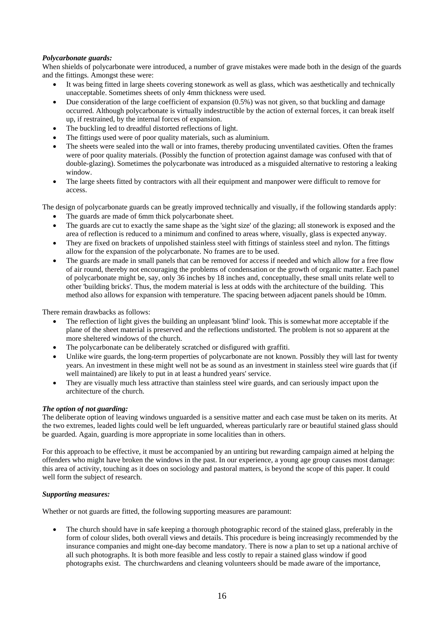#### *Polycarbonate guards:*

When shields of polycarbonate were introduced, a number of grave mistakes were made both in the design of the guards and the fittings. Amongst these were:

- It was being fitted in large sheets covering stonework as well as glass, which was aesthetically and technically unacceptable. Sometimes sheets of only 4mm thickness were used.
- Due consideration of the large coefficient of expansion (0.5%) was not given, so that buckling and damage occurred. Although polycarbonate is virtually indestructible by the action of external forces, it can break itself up, if restrained, by the internal forces of expansion.
- The buckling led to dreadful distorted reflections of light.
- The fittings used were of poor quality materials, such as aluminium.
- The sheets were sealed into the wall or into frames, thereby producing unventilated cavities. Often the frames were of poor quality materials. (Possibly the function of protection against damage was confused with that of double-glazing). Sometimes the polycarbonate was introduced as a misguided alternative to restoring a leaking window.
- The large sheets fitted by contractors with all their equipment and manpower were difficult to remove for access.

The design of polycarbonate guards can be greatly improved technically and visually, if the following standards apply:

- The guards are made of 6mm thick polycarbonate sheet.
- The guards are cut to exactly the same shape as the 'sight size' of the glazing; all stonework is exposed and the area of reflection is reduced to a minimum and confined to areas where, visually, glass is expected anyway.
- They are fixed on brackets of unpolished stainless steel with fittings of stainless steel and nylon. The fittings allow for the expansion of the polycarbonate. No frames are to be used.
- The guards are made in small panels that can be removed for access if needed and which allow for a free flow of air round, thereby not encouraging the problems of condensation or the growth of organic matter. Each panel of polycarbonate might be, say, only 36 inches by 18 inches and, conceptually, these small units relate well to other 'building bricks'. Thus, the modem material is less at odds with the architecture of the building. This method also allows for expansion with temperature. The spacing between adjacent panels should be 10mm.

There remain drawbacks as follows:

- The reflection of light gives the building an unpleasant 'blind' look. This is somewhat more acceptable if the plane of the sheet material is preserved and the reflections undistorted. The problem is not so apparent at the more sheltered windows of the church.
- The polycarbonate can be deliberately scratched or disfigured with graffiti.
- Unlike wire guards, the long-term properties of polycarbonate are not known. Possibly they will last for twenty years. An investment in these might well not be as sound as an investment in stainless steel wire guards that (if well maintained) are likely to put in at least a hundred years' service.
- They are visually much less attractive than stainless steel wire guards, and can seriously impact upon the architecture of the church.

#### *The option of not guarding:*

The deliberate option of leaving windows unguarded is a sensitive matter and each case must be taken on its merits. At the two extremes, leaded lights could well be left unguarded, whereas particularly rare or beautiful stained glass should be guarded. Again, guarding is more appropriate in some localities than in others.

For this approach to be effective, it must be accompanied by an untiring but rewarding campaign aimed at helping the offenders who might have broken the windows in the past. In our experience, a young age group causes most damage: this area of activity, touching as it does on sociology and pastoral matters, is beyond the scope of this paper. It could well form the subject of research.

#### *Supporting measures:*

Whether or not guards are fitted, the following supporting measures are paramount:

• The church should have in safe keeping a thorough photographic record of the stained glass, preferably in the form of colour slides, both overall views and details. This procedure is being increasingly recommended by the insurance companies and might one-day become mandatory. There is now a plan to set up a national archive of all such photographs. It is both more feasible and less costly to repair a stained glass window if good photographs exist. The churchwardens and cleaning volunteers should be made aware of the importance,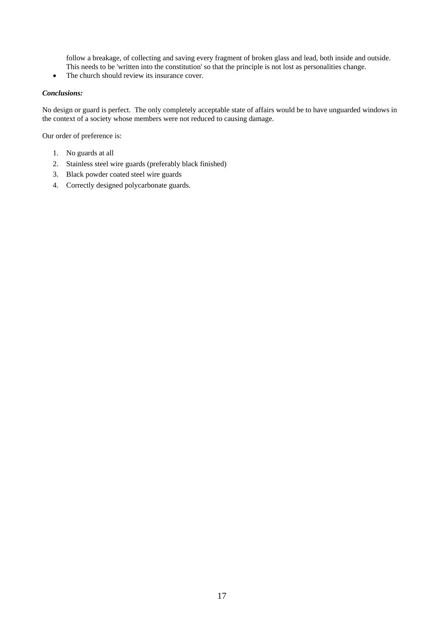follow a breakage, of collecting and saving every fragment of broken glass and lead, both inside and outside. This needs to be 'written into the constitution' so that the principle is not lost as personalities change.

• The church should review its insurance cover.

#### *Conclusions:*

No design or guard is perfect. The only completely acceptable state of affairs would be to have unguarded windows in the context of a society whose members were not reduced to causing damage.

Our order of preference is:

- 1. No guards at all
- 2. Stainless steel wire guards (preferably black finished)
- 3. Black powder coated steel wire guards
- 4. Correctly designed polycarbonate guards.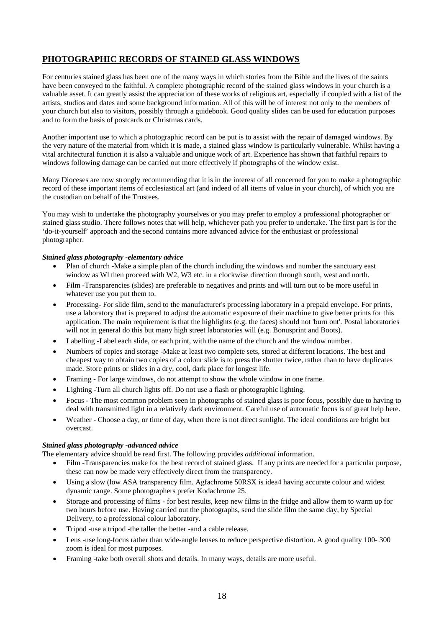## **PHOTOGRAPHIC RECORDS OF STAINED GLASS WINDOWS**

For centuries stained glass has been one of the many ways in which stories from the Bible and the lives of the saints have been conveyed to the faithful. A complete photographic record of the stained glass windows in your church is a valuable asset. It can greatly assist the appreciation of these works of religious art, especially if coupled with a list of the artists, studios and dates and some background information. All of this will be of interest not only to the members of your church but also to visitors, possibly through a guidebook. Good quality slides can be used for education purposes and to form the basis of postcards or Christmas cards.

Another important use to which a photographic record can be put is to assist with the repair of damaged windows. By the very nature of the material from which it is made, a stained glass window is particularly vulnerable. Whilst having a vital architectural function it is also a valuable and unique work of art. Experience has shown that faithful repairs to windows following damage can be carried out more effectively if photographs of the window exist.

Many Dioceses are now strongly recommending that it is in the interest of all concerned for you to make a photographic record of these important items of ecclesiastical art (and indeed of all items of value in your church), of which you are the custodian on behalf of the Trustees.

You may wish to undertake the photography yourselves or you may prefer to employ a professional photographer or stained glass studio. There follows notes that will help, whichever path you prefer to undertake. The first part is for the 'do-it-yourself' approach and the second contains more advanced advice for the enthusiast or professional photographer.

#### *Stained glass photography -elementary advice*

- Plan of church -Make a simple plan of the church including the windows and number the sanctuary east window as WI then proceed with W2, W3 etc. in a clockwise direction through south, west and north.
- Film -Transparencies (slides) are preferable to negatives and prints and will turn out to be more useful in whatever use you put them to.
- Processing- For slide film, send to the manufacturer's processing laboratory in a prepaid envelope. For prints, use a laboratory that is prepared to adjust the automatic exposure of their machine to give better prints for this application. The main requirement is that the highlights (e.g. the faces) should not 'burn out'. Postal laboratories will not in general do this but many high street laboratories will (e.g. Bonusprint and Boots).
- Labelling -Label each slide, or each print, with the name of the church and the window number.
- Numbers of copies and storage -Make at least two complete sets, stored at different locations. The best and cheapest way to obtain two copies of a colour slide is to press the shutter twice, rather than to have duplicates made. Store prints or slides in a dry, cool, dark place for longest life.
- Framing For large windows, do not attempt to show the whole window in one frame.
- Lighting -Turn all church lights off. Do not use a flash or photographic lighting.
- Focus The most common problem seen in photographs of stained glass is poor focus, possibly due to having to deal with transmitted light in a relatively dark environment. Careful use of automatic focus is of great help here.
- Weather Choose a day, or time of day, when there is not direct sunlight. The ideal conditions are bright but overcast.

#### *Stained glass photography -advanced advice*

The elementary advice should be read first. The following provides *additional* information.

- Film -Transparencies make for the best record of stained glass. If any prints are needed for a particular purpose, these can now be made very effectively direct from the transparency.
- Using a slow (low ASA transparency film. Agfachrome 50RSX is idea4 having accurate colour and widest dynamic range. Some photographers prefer Kodachrome 25.
- Storage and processing of films for best results, keep new films in the fridge and allow them to warm up for two hours before use. Having carried out the photographs, send the slide film the same day, by Special Delivery, to a professional colour laboratory.
- Tripod -use a tripod -the taller the better -and a cable release.
- Lens -use long-focus rather than wide-angle lenses to reduce perspective distortion. A good quality 100- 300 zoom is ideal for most purposes.
- Framing -take both overall shots and details. In many ways, details are more useful.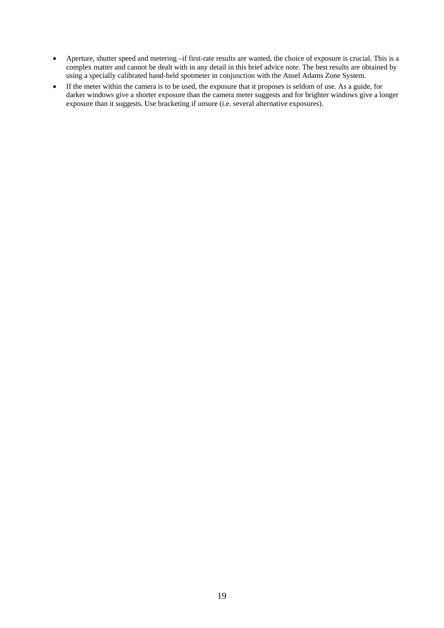- Aperture, shutter speed and metering –if first-rate results are wanted, the choice of exposure is crucial. This is a complex matter and cannot be dealt with in any detail in this brief advice note. The best results are obtained by using a specially calibrated hand-held spotmeter in conjunction with the Ansel Adams Zone System.
- If the meter within the camera is to be used, the exposure that it proposes is seldom of use. As a guide, for darker windows give a shorter exposure than the camera meter suggests and for brighter windows give a longer exposure than it suggests. Use bracketing if unsure (i.e. several alternative exposures).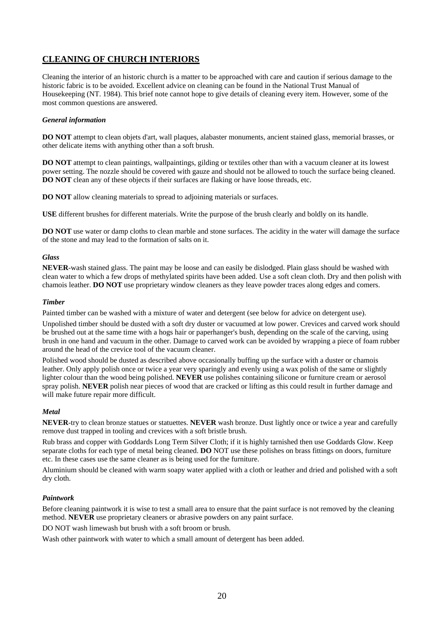## **CLEANING OF CHURCH INTERIORS**

Cleaning the interior of an historic church is a matter to be approached with care and caution if serious damage to the historic fabric is to be avoided. Excellent advice on cleaning can be found in the National Trust Manual of Housekeeping (NT. 1984). This brief note cannot hope to give details of cleaning every item. However, some of the most common questions are answered.

#### *General information*

**DO NOT** attempt to clean objets d'art, wall plaques, alabaster monuments, ancient stained glass, memorial brasses, or other delicate items with anything other than a soft brush.

**DO NOT** attempt to clean paintings, wallpaintings, gilding or textiles other than with a vacuum cleaner at its lowest power setting. The nozzle should be covered with gauze and should not be allowed to touch the surface being cleaned. **DO NOT** clean any of these objects if their surfaces are flaking or have loose threads, etc.

**DO NOT** allow cleaning materials to spread to adjoining materials or surfaces.

**USE** different brushes for different materials. Write the purpose of the brush clearly and boldly on its handle.

**DO NOT** use water or damp cloths to clean marble and stone surfaces. The acidity in the water will damage the surface of the stone and may lead to the formation of salts on it.

#### *Glass*

**NEVER**-wash stained glass. The paint may be loose and can easily be dislodged. Plain glass should be washed with clean water to which a few drops of methylated spirits have been added. Use a soft clean cloth. Dry and then polish with chamois leather. **DO NOT** use proprietary window cleaners as they leave powder traces along edges and comers.

#### *Timber*

Painted timber can be washed with a mixture of water and detergent (see below for advice on detergent use).

Unpolished timber should be dusted with a soft dry duster or vacuumed at low power. Crevices and carved work should be brushed out at the same time with a hogs hair or paperhanger's bush, depending on the scale of the carving, using brush in one hand and vacuum in the other. Damage to carved work can be avoided by wrapping a piece of foam rubber around the head of the crevice tool of the vacuum cleaner.

Polished wood should be dusted as described above occasionally buffing up the surface with a duster or chamois leather. Only apply polish once or twice a year very sparingly and evenly using a wax polish of the same or slightly lighter colour than the wood being polished. **NEVER** use polishes containing silicone or furniture cream or aerosol spray polish. **NEVER** polish near pieces of wood that are cracked or lifting as this could result in further damage and will make future repair more difficult.

#### *Metal*

**NEVER**-try to clean bronze statues or statuettes. **NEVER** wash bronze. Dust lightly once or twice a year and carefully remove dust trapped in tooling and crevices with a soft bristle brush.

Rub brass and copper with Goddards Long Term Silver Cloth; if it is highly tarnished then use Goddards Glow. Keep separate cloths for each type of metal being cleaned. **DO** NOT use these polishes on brass fittings on doors, furniture etc. In these cases use the same cleaner as is being used for the furniture.

Aluminium should be cleaned with warm soapy water applied with a cloth or leather and dried and polished with a soft dry cloth.

#### *Paintwork*

Before cleaning paintwork it is wise to test a small area to ensure that the paint surface is not removed by the cleaning method. **NEVER** use proprietary cleaners or abrasive powders on any paint surface.

DO NOT wash limewash but brush with a soft broom or brush.

Wash other paintwork with water to which a small amount of detergent has been added.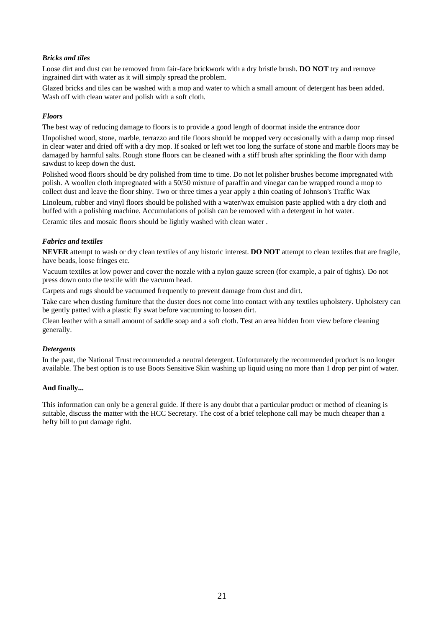#### *Bricks and tiles*

Loose dirt and dust can be removed from fair-face brickwork with a dry bristle brush. **DO NOT** try and remove ingrained dirt with water as it will simply spread the problem.

Glazed bricks and tiles can be washed with a mop and water to which a small amount of detergent has been added. Wash off with clean water and polish with a soft cloth.

#### *Floors*

The best way of reducing damage to floors is to provide a good length of doormat inside the entrance door

Unpolished wood, stone, marble, terrazzo and tile floors should be mopped very occasionally with a damp mop rinsed in clear water and dried off with a dry mop. If soaked or left wet too long the surface of stone and marble floors may be damaged by harmful salts. Rough stone floors can be cleaned with a stiff brush after sprinkling the floor with damp sawdust to keep down the dust.

Polished wood floors should be dry polished from time to time. Do not let polisher brushes become impregnated with polish. A woollen cloth impregnated with a 50/50 mixture of paraffin and vinegar can be wrapped round a mop to collect dust and leave the floor shiny. Two or three times a year apply a thin coating of Johnson's Traffic Wax

Linoleum, rubber and vinyl floors should be polished with a water/wax emulsion paste applied with a dry cloth and buffed with a polishing machine. Accumulations of polish can be removed with a detergent in hot water.

Ceramic tiles and mosaic floors should be lightly washed with clean water .

#### *Fabrics and textiles*

**NEVER** attempt to wash or dry clean textiles of any historic interest. **DO NOT** attempt to clean textiles that are fragile, have beads, loose fringes etc.

Vacuum textiles at low power and cover the nozzle with a nylon gauze screen (for example, a pair of tights). Do not press down onto the textile with the vacuum head.

Carpets and rugs should be vacuumed frequently to prevent damage from dust and dirt.

Take care when dusting furniture that the duster does not come into contact with any textiles upholstery. Upholstery can be gently patted with a plastic fly swat before vacuuming to loosen dirt.

Clean leather with a small amount of saddle soap and a soft cloth. Test an area hidden from view before cleaning generally.

#### *Detergents*

In the past, the National Trust recommended a neutral detergent. Unfortunately the recommended product is no longer available. The best option is to use Boots Sensitive Skin washing up liquid using no more than 1 drop per pint of water.

#### **And finally...**

This information can only be a general guide. If there is any doubt that a particular product or method of cleaning is suitable, discuss the matter with the HCC Secretary. The cost of a brief telephone call may be much cheaper than a hefty bill to put damage right.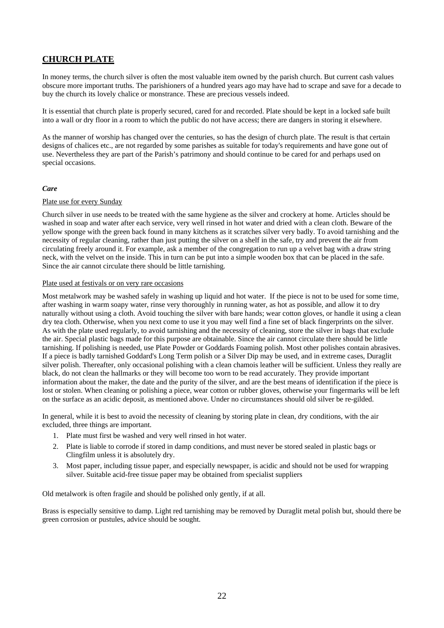### **CHURCH PLATE**

In money terms, the church silver is often the most valuable item owned by the parish church. But current cash values obscure more important truths. The parishioners of a hundred years ago may have had to scrape and save for a decade to buy the church its lovely chalice or monstrance. These are precious vessels indeed.

It is essential that church plate is properly secured, cared for and recorded. Plate should be kept in a locked safe built into a wall or dry floor in a room to which the public do not have access; there are dangers in storing it elsewhere.

As the manner of worship has changed over the centuries, so has the design of church plate. The result is that certain designs of chalices etc., are not regarded by some parishes as suitable for today's requirements and have gone out of use. Nevertheless they are part of the Parish's patrimony and should continue to be cared for and perhaps used on special occasions.

#### *Care*

#### Plate use for every Sunday

Church silver in use needs to be treated with the same hygiene as the silver and crockery at home. Articles should be washed in soap and water after each service, very well rinsed in hot water and dried with a clean cloth. Beware of the yellow sponge with the green back found in many kitchens as it scratches silver very badly. To avoid tarnishing and the necessity of regular cleaning, rather than just putting the silver on a shelf in the safe, try and prevent the air from circulating freely around it. For example, ask a member of the congregation to run up a velvet bag with a draw string neck, with the velvet on the inside. This in turn can be put into a simple wooden box that can be placed in the safe. Since the air cannot circulate there should be little tarnishing.

#### Plate used at festivals or on very rare occasions

Most metalwork may be washed safely in washing up liquid and hot water. If the piece is not to be used for some time, after washing in warm soapy water, rinse very thoroughly in running water, as hot as possible, and allow it to dry naturally without using a cloth. Avoid touching the silver with bare hands; wear cotton gloves, or handle it using a clean dry tea cloth. Otherwise, when you next come to use it you may well find a fine set of black fingerprints on the silver. As with the plate used regularly, to avoid tarnishing and the necessity of cleaning, store the silver in bags that exclude the air. Special plastic bags made for this purpose are obtainable. Since the air cannot circulate there should be little tarnishing. If polishing is needed, use Plate Powder or Goddards Foaming polish. Most other polishes contain abrasives. If a piece is badly tarnished Goddard's Long Term polish or a Silver Dip may be used, and in extreme cases, Duraglit silver polish. Thereafter, only occasional polishing with a clean chamois leather will be sufficient. Unless they really are black, do not clean the hallmarks or they will become too worn to be read accurately. They provide important information about the maker, the date and the purity of the silver, and are the best means of identification if the piece is lost or stolen. When cleaning or polishing a piece, wear cotton or rubber gloves, otherwise your fingermarks will be left on the surface as an acidic deposit, as mentioned above. Under no circumstances should old silver be re-gilded.

In general, while it is best to avoid the necessity of cleaning by storing plate in clean, dry conditions, with the air excluded, three things are important.

- 1. Plate must first be washed and very well rinsed in hot water.
- 2. Plate is liable to corrode if stored in damp conditions, and must never be stored sealed in plastic bags or Clingfilm unless it is absolutely dry.
- 3. Most paper, including tissue paper, and especially newspaper, is acidic and should not be used for wrapping silver. Suitable acid-free tissue paper may be obtained from specialist suppliers

Old metalwork is often fragile and should be polished only gently, if at all.

Brass is especially sensitive to damp. Light red tarnishing may be removed by Duraglit metal polish but, should there be green corrosion or pustules, advice should be sought.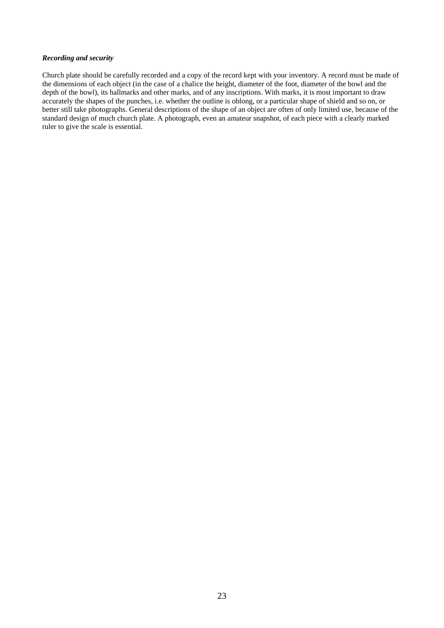#### *Recording and security*

Church plate should be carefully recorded and a copy of the record kept with your inventory. A record must be made of the dimensions of each object (in the case of a chalice the height, diameter of the foot, diameter of the bowl and the depth of the bowl), its hallmarks and other marks, and of any inscriptions. With marks, it is most important to draw accurately the shapes of the punches, i.e. whether the outline is oblong, or a particular shape of shield and so on, or better still take photographs. General descriptions of the shape of an object are often of only limited use, because of the standard design of much church plate. A photograph, even an amateur snapshot, of each piece with a clearly marked ruler to give the scale is essential.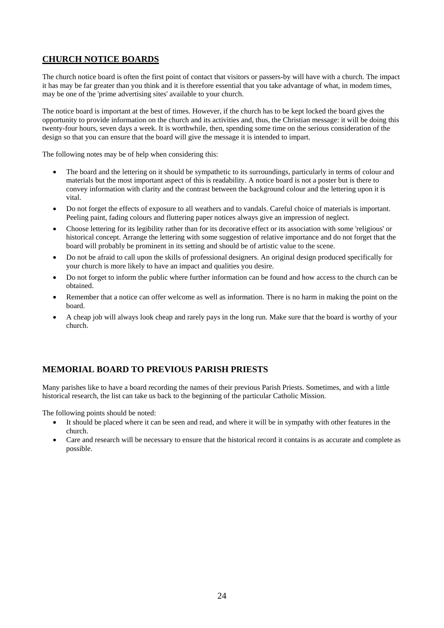### **CHURCH NOTICE BOARDS**

The church notice board is often the first point of contact that visitors or passers-by will have with a church. The impact it has may be far greater than you think and it is therefore essential that you take advantage of what, in modem times, may be one of the 'prime advertising sites' available to your church.

The notice board is important at the best of times. However, if the church has to be kept locked the board gives the opportunity to provide information on the church and its activities and, thus, the Christian message: it will be doing this twenty-four hours, seven days a week. It is worthwhile, then, spending some time on the serious consideration of the design so that you can ensure that the board will give the message it is intended to impart.

The following notes may be of help when considering this:

- The board and the lettering on it should be sympathetic to its surroundings, particularly in terms of colour and materials but the most important aspect of this is readability. A notice board is not a poster but is there to convey information with clarity and the contrast between the background colour and the lettering upon it is vital.
- Do not forget the effects of exposure to all weathers and to vandals. Careful choice of materials is important. Peeling paint, fading colours and fluttering paper notices always give an impression of neglect.
- Choose lettering for its legibility rather than for its decorative effect or its association with some 'religious' or historical concept. Arrange the lettering with some suggestion of relative importance and do not forget that the board will probably be prominent in its setting and should be of artistic value to the scene.
- Do not be afraid to call upon the skills of professional designers. An original design produced specifically for your church is more likely to have an impact and qualities you desire.
- Do not forget to inform the public where further information can be found and how access to the church can be obtained.
- Remember that a notice can offer welcome as well as information. There is no harm in making the point on the board.
- A cheap job will always look cheap and rarely pays in the long run. Make sure that the board is worthy of your church.

### **MEMORIAL BOARD TO PREVIOUS PARISH PRIESTS**

Many parishes like to have a board recording the names of their previous Parish Priests. Sometimes, and with a little historical research, the list can take us back to the beginning of the particular Catholic Mission.

The following points should be noted:

- It should be placed where it can be seen and read, and where it will be in sympathy with other features in the church.
- Care and research will be necessary to ensure that the historical record it contains is as accurate and complete as possible.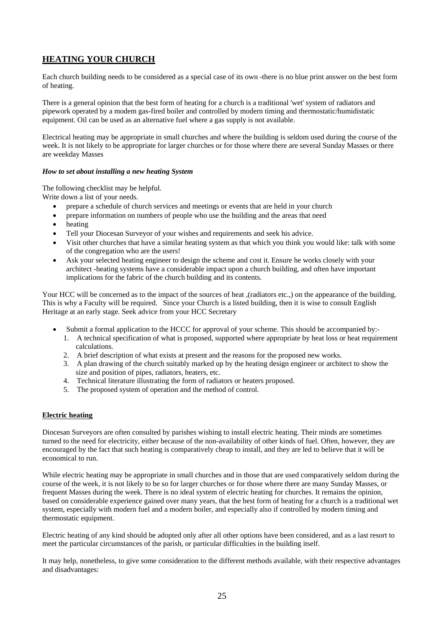## **HEATING YOUR CHURCH**

Each church building needs to be considered as a special case of its own -there is no blue print answer on the best form of heating.

There is a general opinion that the best form of heating for a church is a traditional 'wet' system of radiators and pipework operated by a modem gas-fired boiler and controlled by modern timing and thermostatic/humidistatic equipment. Oil can be used as an alternative fuel where a gas supply is not available.

Electrical heating may be appropriate in small churches and where the building is seldom used during the course of the week. It is not likely to be appropriate for larger churches or for those where there are several Sunday Masses or there are weekday Masses

#### *How to set about installing a new heating System*

The following checklist may be helpful.

Write down a list of your needs.

- prepare a schedule of church services and meetings or events that are held in your church
- prepare information on numbers of people who use the building and the areas that need
- heating
- Tell your Diocesan Surveyor of your wishes and requirements and seek his advice.
- Visit other churches that have a similar heating system as that which you think you would like: talk with some of the congregation who are the users!
- Ask your selected heating engineer to design the scheme and cost it. Ensure he works closely with your architect -heating systems have a considerable impact upon a church building, and often have important implications for the fabric of the church building and its contents.

Your HCC will be concerned as to the impact of the sources of heat ,(radiators etc.,) on the appearance of the building. This is why a Faculty will be required. Since your Church is a listed building, then it is wise to consult English Heritage at an early stage. Seek advice from your HCC Secretary

- Submit a formal application to the HCCC for approval of your scheme. This should be accompanied by:-
	- 1. A technical specification of what is proposed, supported where appropriate by heat loss or heat requirement calculations.
	- 2. A brief description of what exists at present and the reasons for the proposed new works.
	- 3. A plan drawing of the church suitably marked up by the heating design engineer or architect to show the size and position of pipes, radiators, heaters, etc.
	- 4. Technical literature illustrating the form of radiators or heaters proposed.
	- 5. The proposed system of operation and the method of control.

#### **Electric heating**

Diocesan Surveyors are often consulted by parishes wishing to install electric heating. Their minds are sometimes turned to the need for electricity, either because of the non-availability of other kinds of fuel. Often, however, they are encouraged by the fact that such heating is comparatively cheap to install, and they are led to believe that it will be economical to run.

While electric heating may be appropriate in small churches and in those that are used comparatively seldom during the course of the week, it is not likely to be so for larger churches or for those where there are many Sunday Masses, or frequent Masses during the week. There is no ideal system of electric heating for churches. It remains the opinion, based on considerable experience gained over many years, that the best form of heating for a church is a traditional wet system, especially with modern fuel and a modern boiler, and especially also if controlled by modern timing and thermostatic equipment.

Electric heating of any kind should be adopted only after all other options have been considered, and as a last resort to meet the particular circumstances of the parish, or particular difficulties in the building itself.

It may help, nonetheless, to give some consideration to the different methods available, with their respective advantages and disadvantages: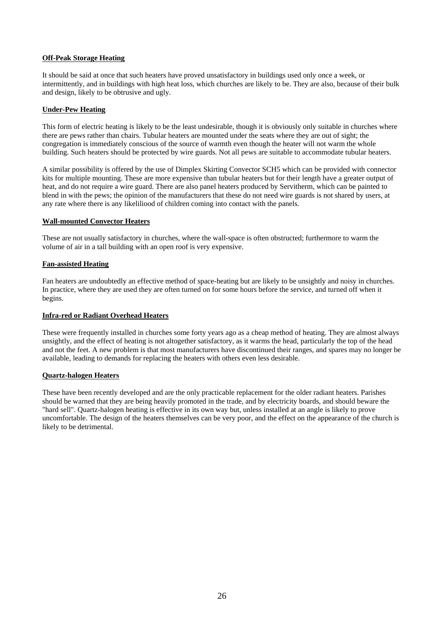#### **Off-Peak Storage Heating**

It should be said at once that such heaters have proved unsatisfactory in buildings used only once a week, or intermittently, and in buildings with high heat loss, which churches are likely to be. They are also, because of their bulk and design, likely to be obtrusive and ugly.

#### **Under-Pew Heating**

This form of electric heating is likely to be the least undesirable, though it is obviously only suitable in churches where there are pews rather than chairs. Tubular heaters are mounted under the seats where they are out of sight; the congregation is immediately conscious of the source of warmth even though the heater will not warm the whole building. Such heaters should be protected by wire guards. Not all pews are suitable to accommodate tubular heaters.

A similar possibility is offered by the use of Dimplex Skirting Convector SCH5 which can be provided with connector kits for multiple mounting. These are more expensive than tubular heaters but for their length have a greater output of heat, and do not require a wire guard. There are also panel heaters produced by Servitherm, which can be painted to blend in with the pews; the opinion of the manufacturers that these do not need wire guards is not shared by users, at any rate where there is any likeliliood of children coming into contact with the panels.

#### **Wall-mounted Convector Heaters**

These are not usually satisfactory in churches, where the wall-space is often obstructed; furthermore to warm the volume of air in a tall building with an open roof is very expensive.

#### **Fan-assisted Heating**

Fan heaters are undoubtedly an effective method of space-heating but are likely to be unsightly and noisy in churches. In practice, where they are used they are often turned on for some hours before the service, and turned off when it begins.

#### **Infra-red or Radiant Overhead Heaters**

These were frequently installed in churches some forty years ago as a cheap method of heating. They are almost always unsightly, and the effect of heating is not altogether satisfactory, as it warms the head, particularly the top of the head and not the feet. A new problem is that most manufacturers have discontinued their ranges, and spares may no longer be available, leading to demands for replacing the heaters with others even less desirable.

#### **Quartz-halogen Heaters**

These have been recently developed and are the only practicable replacement for the older radiant heaters. Parishes should be warned that they are being heavily promoted in the trade, and by electricity boards, and should beware the "hard sell". Quartz-halogen heating is effective in its own way but, unless installed at an angle is likely to prove uncomfortable. The design of the heaters themselves can be very poor, and the effect on the appearance of the church is likely to be detrimental.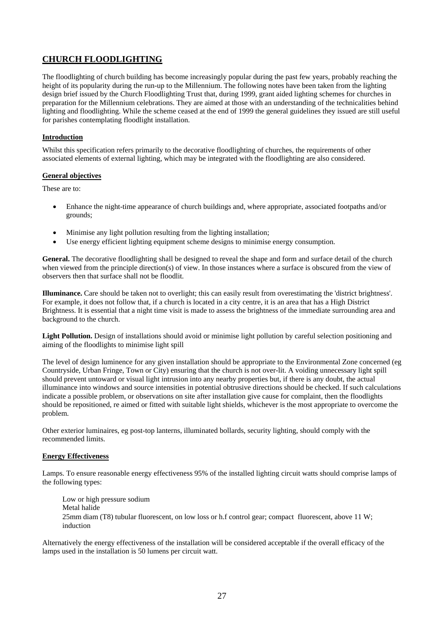## **CHURCH FLOODLIGHTING**

The floodlighting of church building has become increasingly popular during the past few years, probably reaching the height of its popularity during the run-up to the Millennium. The following notes have been taken from the lighting design brief issued by the Church Floodlighting Trust that, during 1999, grant aided lighting schemes for churches in preparation for the Millennium celebrations. They are aimed at those with an understanding of the technicalities behind lighting and floodlighting. While the scheme ceased at the end of 1999 the general guidelines they issued are still useful for parishes contemplating floodlight installation.

#### **Introduction**

Whilst this specification refers primarily to the decorative floodlighting of churches, the requirements of other associated elements of external lighting, which may be integrated with the floodlighting are also considered.

#### **General objectives**

These are to:

- Enhance the night-time appearance of church buildings and, where appropriate, associated footpaths and/or grounds;
- Minimise any light pollution resulting from the lighting installation;
- Use energy efficient lighting equipment scheme designs to minimise energy consumption.

**General.** The decorative floodlighting shall be designed to reveal the shape and form and surface detail of the church when viewed from the principle direction(s) of view. In those instances where a surface is obscured from the view of observers then that surface shall not be floodlit.

**Illuminance.** Care should be taken not to overlight; this can easily result from overestimating the 'district brightness'. For example, it does not follow that, if a church is located in a city centre, it is an area that has a High District Brightness. It is essential that a night time visit is made to assess the brightness of the immediate surrounding area and background to the church.

**Light Pollution.** Design of installations should avoid or minimise light pollution by careful selection positioning and aiming of the floodlights to minimise light spill

The level of design luminence for any given installation should be appropriate to the Environmental Zone concerned (eg Countryside, Urban Fringe, Town or City) ensuring that the church is not over-lit. A voiding unnecessary light spill should prevent untoward or visual light intrusion into any nearby properties but, if there is any doubt, the actual illuminance into windows and source intensities in potential obtrusive directions should be checked. If such calculations indicate a possible problem, or observations on site after installation give cause for complaint, then the floodlights should be repositioned, re aimed or fitted with suitable light shields, whichever is the most appropriate to overcome the problem.

Other exterior luminaires, eg post-top lanterns, illuminated bollards, security lighting, should comply with the recommended limits.

#### **Energy Effectiveness**

Lamps. To ensure reasonable energy effectiveness 95% of the installed lighting circuit watts should comprise lamps of the following types:

 Low or high pressure sodium Metal halide 25mm diam (T8) tubular fluorescent, on low loss or h.f control gear; compact fluorescent, above 11 W; induction

Alternatively the energy effectiveness of the installation will be considered acceptable if the overall efficacy of the lamps used in the installation is 50 lumens per circuit watt.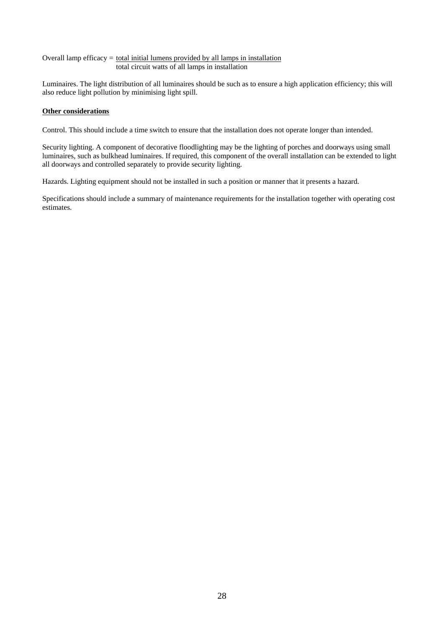#### Overall lamp efficacy  $=$  total initial lumens provided by all lamps in installation total circuit watts of all lamps in installation

Luminaires. The light distribution of all luminaires should be such as to ensure a high application efficiency; this will also reduce light pollution by minimising light spill.

#### **Other considerations**

Control. This should include a time switch to ensure that the installation does not operate longer than intended.

Security lighting. A component of decorative floodlighting may be the lighting of porches and doorways using small luminaires, such as bulkhead luminaires. If required, this component of the overall installation can be extended to light all doorways and controlled separately to provide security lighting.

Hazards. Lighting equipment should not be installed in such a position or manner that it presents a hazard.

Specifications should include a summary of maintenance requirements for the installation together with operating cost estimates.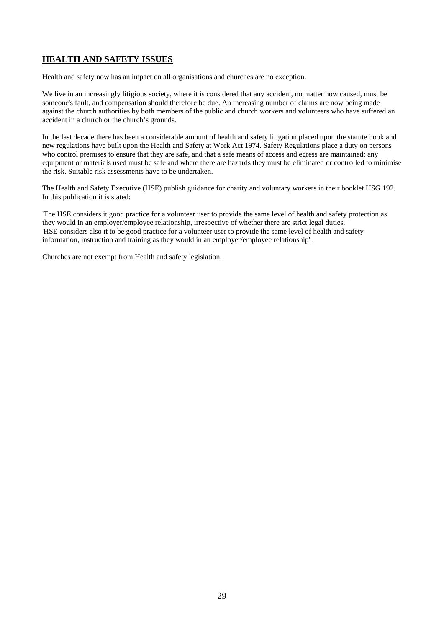## **HEALTH AND SAFETY ISSUES**

Health and safety now has an impact on all organisations and churches are no exception.

We live in an increasingly litigious society, where it is considered that any accident, no matter how caused, must be someone's fault, and compensation should therefore be due. An increasing number of claims are now being made against the church authorities by both members of the public and church workers and volunteers who have suffered an accident in a church or the church's grounds.

In the last decade there has been a considerable amount of health and safety litigation placed upon the statute book and new regulations have built upon the Health and Safety at Work Act 1974. Safety Regulations place a duty on persons who control premises to ensure that they are safe, and that a safe means of access and egress are maintained: any equipment or materials used must be safe and where there are hazards they must be eliminated or controlled to minimise the risk. Suitable risk assessments have to be undertaken.

The Health and Safety Executive (HSE) publish guidance for charity and voluntary workers in their booklet HSG 192. In this publication it is stated:

'The HSE considers it good practice for a volunteer user to provide the same level of health and safety protection as they would in an employer/employee relationship, irrespective of whether there are strict legal duties. 'HSE considers also it to be good practice for a volunteer user to provide the same level of health and safety information, instruction and training as they would in an employer/employee relationship' .

Churches are not exempt from Health and safety legislation.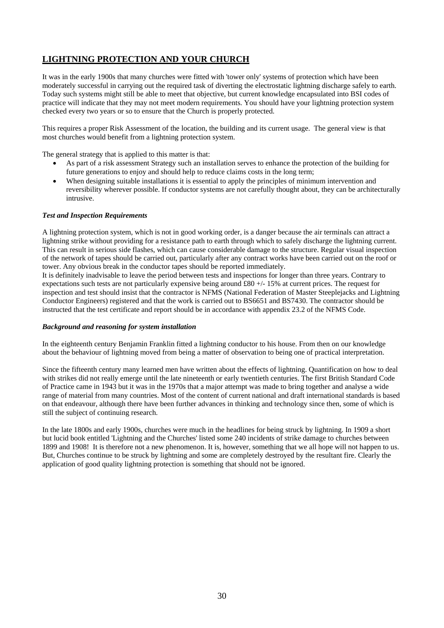## **LIGHTNING PROTECTION AND YOUR CHURCH**

It was in the early 1900s that many churches were fitted with 'tower only' systems of protection which have been moderately successful in carrying out the required task of diverting the electrostatic lightning discharge safely to earth. Today such systems might still be able to meet that objective, but current knowledge encapsulated into BSI codes of practice will indicate that they may not meet modern requirements. You should have your lightning protection system checked every two years or so to ensure that the Church is properly protected.

This requires a proper Risk Assessment of the location, the building and its current usage. The general view is that most churches would benefit from a lightning protection system.

The general strategy that is applied to this matter is that:

- As part of a risk assessment Strategy such an installation serves to enhance the protection of the building for future generations to enjoy and should help to reduce claims costs in the long term;
- When designing suitable installations it is essential to apply the principles of minimum intervention and reversibility wherever possible. If conductor systems are not carefully thought about, they can be architecturally intrusive.

#### *Test and Inspection Requirements*

A lightning protection system, which is not in good working order, is a danger because the air terminals can attract a lightning strike without providing for a resistance path to earth through which to safely discharge the lightning current. This can result in serious side flashes, which can cause considerable damage to the structure. Regular visual inspection of the network of tapes should be carried out, particularly after any contract works have been carried out on the roof or tower. Any obvious break in the conductor tapes should be reported immediately.

It is definitely inadvisable to leave the period between tests and inspections for longer than three years. Contrary to expectations such tests are not particularly expensive being around £80 +/- 15% at current prices. The request for inspection and test should insist that the contractor is NFMS (National Federation of Master Steeplejacks and Lightning Conductor Engineers) registered and that the work is carried out to BS6651 and BS7430. The contractor should be instructed that the test certificate and report should be in accordance with appendix 23.2 of the NFMS Code.

#### *Background and reasoning for system installation*

In the eighteenth century Benjamin Franklin fitted a lightning conductor to his house. From then on our knowledge about the behaviour of lightning moved from being a matter of observation to being one of practical interpretation.

Since the fifteenth century many learned men have written about the effects of lightning. Quantification on how to deal with strikes did not really emerge until the late nineteenth or early twentieth centuries. The first British Standard Code of Practice came in 1943 but it was in the 1970s that a major attempt was made to bring together and analyse a wide range of material from many countries. Most of the content of current national and draft international standards is based on that endeavour, although there have been further advances in thinking and technology since then, some of which is still the subject of continuing research.

In the late 1800s and early 1900s, churches were much in the headlines for being struck by lightning. In 1909 a short but lucid book entitled 'Lightning and the Churches' listed some 240 incidents of strike damage to churches between 1899 and 1908! It is therefore not a new phenomenon. It is, however, something that we all hope will not happen to us. But, Churches continue to be struck by lightning and some are completely destroyed by the resultant fire. Clearly the application of good quality lightning protection is something that should not be ignored.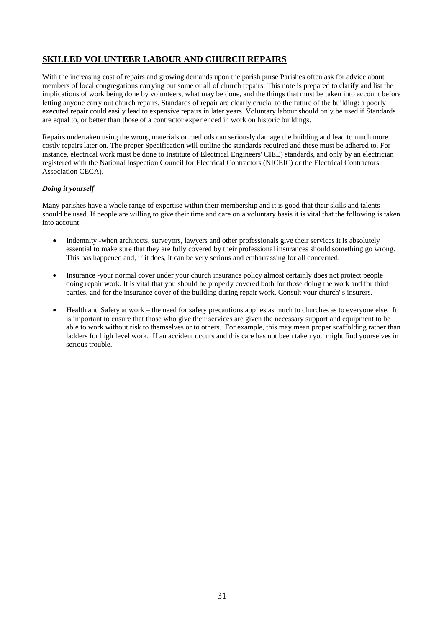## **SKILLED VOLUNTEER LABOUR AND CHURCH REPAIRS**

With the increasing cost of repairs and growing demands upon the parish purse Parishes often ask for advice about members of local congregations carrying out some or all of church repairs. This note is prepared to clarify and list the implications of work being done by volunteers, what may be done, and the things that must be taken into account before letting anyone carry out church repairs. Standards of repair are clearly crucial to the future of the building: a poorly executed repair could easily lead to expensive repairs in later years. Voluntary labour should only be used if Standards are equal to, or better than those of a contractor experienced in work on historic buildings.

Repairs undertaken using the wrong materials or methods can seriously damage the building and lead to much more costly repairs later on. The proper Specification will outline the standards required and these must be adhered to. For instance, electrical work must be done to Institute of Electrical Engineers' CIEE) standards, and only by an electrician registered with the National Inspection Council for Electrical Contractors (NICEIC) or the Electrical Contractors Association CECA).

#### *Doing it yourself*

Many parishes have a whole range of expertise within their membership and it is good that their skills and talents should be used. If people are willing to give their time and care on a voluntary basis it is vital that the following is taken into account:

- Indemnity -when architects, surveyors, lawyers and other professionals give their services it is absolutely essential to make sure that they are fully covered by their professional insurances should something go wrong. This has happened and, if it does, it can be very serious and embarrassing for all concerned.
- Insurance -your normal cover under your church insurance policy almost certainly does not protect people doing repair work. It is vital that you should be properly covered both for those doing the work and for third parties, and for the insurance cover of the building during repair work. Consult your church' s insurers.
- Health and Safety at work the need for safety precautions applies as much to churches as to everyone else. It is important to ensure that those who give their services are given the necessary support and equipment to be able to work without risk to themselves or to others. For example, this may mean proper scaffolding rather than ladders for high level work. If an accident occurs and this care has not been taken you might find yourselves in serious trouble.